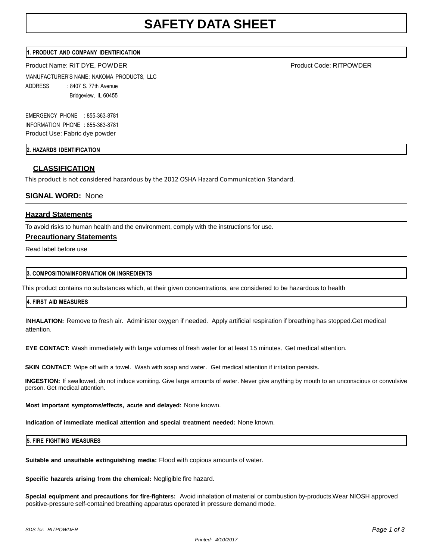## **1. PRODUCT AND COMPANY IDENTIFICATION**

Product Name: RIT DYE, POWDER PRODUCT PRODUCT CODE: RITPOWDER Product Code: RITPOWDER

MANUFACTURER'S NAME: NAKOMA PRODUCTS, LLC ADDRESS : 8407 S. 77th Avenue Bridgeview, IL 60455

EMERGENCY PHONE : 855-363-8781 INFORMATION PHONE : 855-363-8781 Product Use: Fabric dye powder

**2. HAZARDS IDENTIFICATION**

# **CLASSIFICATION**

This product is not considered hazardous by the 2012 OSHA Hazard Communication Standard.

# **SIGNAL WORD:** None

# **Hazard Statements**

To avoid risks to human health and the environment, comply with the instructions for use.

## **Precautionary Statements**

Read label before use

## **3. COMPOSITION/INFORMATION ON INGREDIENTS**

This product contains no substances which, at their given concentrations, are considered to be hazardous to health

#### **4. FIRST AID MEASURES**

I**NHALATION:** Remove to fresh air. Administer oxygen if needed. Apply artificial respiration if breathing has stopped. Get medical attention.

**EYE CONTACT:** Wash immediately with large volumes of fresh water for at least 15 minutes. Get medical attention.

**SKIN CONTACT:** Wipe off with a towel. Wash with soap and water. Get medical attention if irritation persists.

**INGESTION:** If swallowed, do not induce vomiting. Give large amounts of water. Never give anything by mouth to an unconscious or convulsive person. Get medical attention.

**Most important symptoms/effects, acute and delayed:** None known.

**Indication of immediate medical attention and special treatment needed:** None known.

**5. FIRE FIGHTING MEASURES**

**Suitable and unsuitable extinguishing media:** Flood with copious amounts of water.

**Specific hazards arising from the chemical:** Negligible fire hazard.

**Special equipment and precautions for fire-fighters:** Avoid inhalation of material or combustion by-products. Wear NIOSH approved positive-pressure self-contained breathing apparatus operated in pressure demand mode.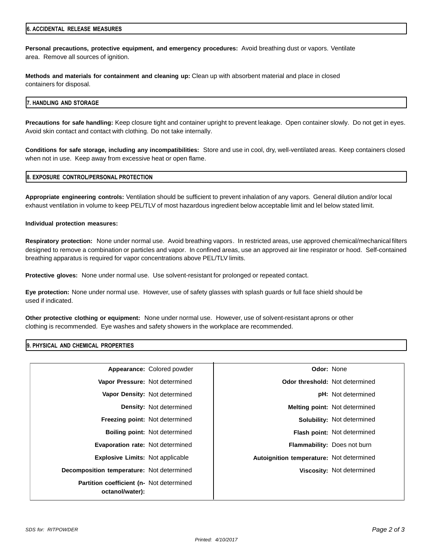#### **6. ACCIDENTAL RELEASE MEASURES**

**Personal precautions, protective equipment, and emergency procedures:** Avoid breathing dust or vapors. Ventilate area. Remove all sources of ignition.

**Methods and materials for containment and cleaning up:** Clean up with absorbent material and place in closed containers for disposal.

### **7. HANDLING AND STORAGE**

**Precautions for safe handling:** Keep closure tight and container upright to prevent leakage. Open container slowly. Do not get in eyes. Avoid skin contact and contact with clothing. Do not take internally.

**Conditions for safe storage, including any incompatibilities:** Store and use in cool, dry, well-ventilated areas. Keep containers closed when not in use. Keep away from excessive heat or open flame.

### **8. EXPOSURE CONTROL/PERSONAL PROTECTION**

**Appropriate engineering controls:** Ventilation should be sufficient to prevent inhalation of any vapors. General dilution and/or local exhaust ventilation in volume to keep PEL/TLV of most hazardous ingredient below acceptable limit and lel below stated limit.

### **Individual protection measures:**

**Respiratory protection:** None under normal use. Avoid breathing vapors. In restricted areas, use approved chemical/mechanical filters designed to remove a combination or particles and vapor. In confined areas, use an approved air line respirator or hood. Self-contained breathing apparatus is required for vapor concentrations above PEL/TLV limits.

**Protective gloves:** None under normal use. Use solvent-resistant for prolonged or repeated contact.

**Eye protection:** None under normal use. However, use of safety glasses with splash guards or full face shield should be used if indicated.

**Other protective clothing or equipment:** None under normal use. However, use of solvent-resistant aprons or other clothing is recommended. Eye washes and safety showers in the workplace are recommended.

## **9. PHYSICAL AND CHEMICAL PROPERTIES**

| Appearance: Colored powder<br>Odor: None                                            |                                           |
|-------------------------------------------------------------------------------------|-------------------------------------------|
| <b>Odor threshold:</b> Not determined<br>Vapor Pressure: Not determined             |                                           |
| Vapor Density: Not determined<br><b>pH:</b> Not determined                          |                                           |
| <b>Density:</b> Not determined<br><b>Melting point: Not determined</b>              |                                           |
| Freezing point: Not determined<br><b>Solubility: Not determined</b>                 |                                           |
| <b>Boiling point: Not determined</b><br><b>Flash point: Not determined</b>          |                                           |
| <b>Evaporation rate: Not determined</b><br><b>Flammability: Does not burn</b>       |                                           |
| <b>Explosive Limits: Not applicable</b><br>Autoignition temperature: Not determined |                                           |
| Viscosity: Not determined                                                           | Decomposition temperature: Not determined |
| Partition coefficient (n- Not determined                                            | octanol/water):                           |